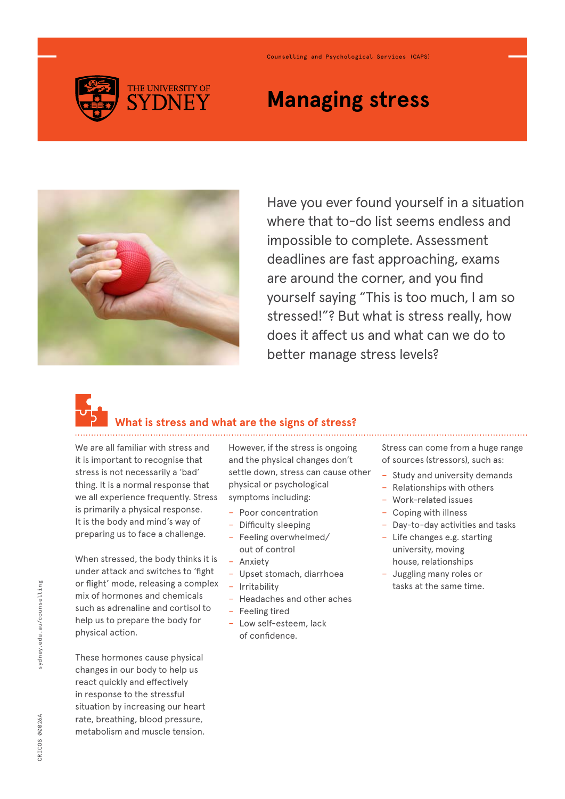

# **Managing stress**

Counselling and Psychological Services (CAPS)



Have you ever found yourself in a situation where that to-do list seems endless and impossible to complete. Assessment deadlines are fast approaching, exams are around the corner, and you find yourself saying "This is too much, I am so stressed!"? But what is stress really, how does it affect us and what can we do to better manage stress levels?



## **What is stress and what are the signs of stress?**

We are all familiar with stress and it is important to recognise that stress is not necessarily a 'bad' thing. It is a normal response that we all experience frequently. Stress is primarily a physical response. It is the body and mind's way of preparing us to face a challenge.

When stressed, the body thinks it is under attack and switches to 'fight or flight' mode, releasing a complex mix of hormones and chemicals such as adrenaline and cortisol to help us to prepare the body for physical action.

These hormones cause physical changes in our body to help us react quickly and effectively in response to the stressful situation by increasing our heart rate, breathing, blood pressure, metabolism and muscle tension.

However, if the stress is ongoing and the physical changes don't settle down, stress can cause other physical or psychological symptoms including:

- − Poor concentration
- − Difficulty sleeping
- − Feeling overwhelmed/ out of control
- − Anxiety
- − Upset stomach, diarrhoea
- − Irritability
- − Headaches and other aches
- − Feeling tired
- − Low self-esteem, lack of confidence.

Stress can come from a huge range of sources (stressors), such as:

- − Study and university demands
- − Relationships with others
- − Work-related issues
- − Coping with illness
- Day-to-day activities and tasks
- − Life changes e.g. starting university, moving house, relationships
- − Juggling many roles or tasks at the same time.